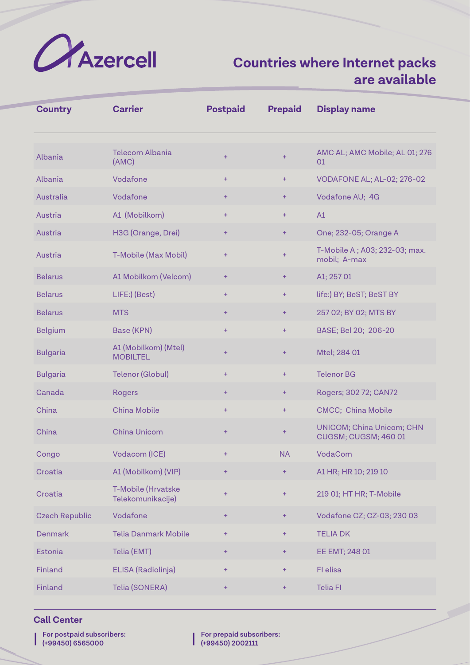

| <b>Country</b>        | <b>Carrier</b>                          | <b>Postpaid</b> | <b>Prepaid</b>   | <b>Display name</b>                                      |
|-----------------------|-----------------------------------------|-----------------|------------------|----------------------------------------------------------|
| Albania               | <b>Telecom Albania</b><br>(AMC)         | $+$             | $+$              | AMC AL; AMC Mobile; AL 01; 276<br>01                     |
| Albania               | Vodafone                                | $+$             | $\pm$            | VODAFONE AL; AL-02; 276-02                               |
| Australia             | Vodafone                                | $\pm$           | $\pm$            | Vodafone AU; 4G                                          |
| Austria               | A1 (Mobilkom)                           | ÷               | $\ddot{}$        | A1                                                       |
| Austria               | H3G (Orange, Drei)                      | ÷               | $\pm$            | One; 232-05; Orange A                                    |
| Austria               | T-Mobile (Max Mobil)                    | ÷               | $\ddot{}$        | T-Mobile A; A03; 232-03; max.<br>mobil; A-max            |
| <b>Belarus</b>        | A1 Mobilkom (Velcom)                    | ÷               | ÷                | A1; 257 01                                               |
| <b>Belarus</b>        | LIFE:) (Best)                           | $+$             | $\ddot{}$        | life:) BY; BeST; BeST BY                                 |
| <b>Belarus</b>        | <b>MTS</b>                              | $\pm$           | $\pm$            | 257 02; BY 02; MTS BY                                    |
| <b>Belgium</b>        | Base (KPN)                              | $+$             | $\color{red}{+}$ | BASE; Bel 20; 206-20                                     |
| <b>Bulgaria</b>       | A1 (Mobilkom) (Mtel)<br><b>MOBILTEL</b> | $+$             | ÷                | Mtel; 284 01                                             |
| <b>Bulgaria</b>       | <b>Telenor (Globul)</b>                 | $\ddot{}$       | $\ddot{}$        | <b>Telenor BG</b>                                        |
| Canada                | <b>Rogers</b>                           | $\pm$           | $\pm$            | Rogers; 302 72; CAN72                                    |
| China                 | <b>China Mobile</b>                     | $\ddot{}$       | $\pm$            | <b>CMCC; China Mobile</b>                                |
| China                 | <b>China Unicom</b>                     | ÷               | $\ddot{}$        | <b>UNICOM; China Unicom; CHN</b><br>CUGSM; CUGSM; 460 01 |
| Congo                 | Vodacom (ICE)                           | $+$             | <b>NA</b>        | VodaCom                                                  |
| Croatia               | A1 (Mobilkom) (VIP)                     | ÷               | $\color{red}+$   | A1 HR; HR 10; 219 10                                     |
| Croatia               | T-Mobile (Hrvatske<br>Telekomunikacije) | ÷               | $\color{red}{+}$ | 219 01; HT HR; T-Mobile                                  |
| <b>Czech Republic</b> | Vodafone                                | ÷               | $+$              | Vodafone CZ; CZ-03; 230 03                               |
| <b>Denmark</b>        | <b>Telia Danmark Mobile</b>             | $\pm$           | $\pm$            | <b>TELIA DK</b>                                          |
| Estonia               | Telia (EMT)                             | ÷               | $\pm$            | EE EMT; 248 01                                           |
| Finland               | ELISA (Radiolinja)                      | ÷               | $\ddot{}$        | FI elisa                                                 |
| Finland               | Telia (SONERA)                          | ÷               | ÷                | <b>Telia FI</b>                                          |

## **Call Center**

| | **For postpaid subscribers: (+99450) 6565000**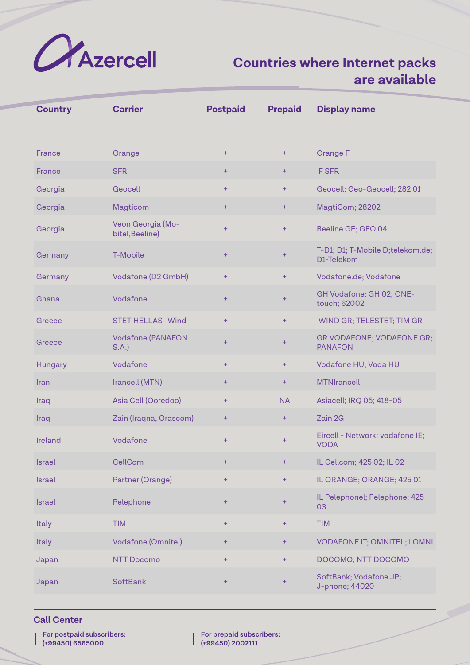

| <b>Country</b> | <b>Carrier</b>                       | <b>Postpaid</b> | <b>Prepaid</b> | <b>Display name</b>                            |
|----------------|--------------------------------------|-----------------|----------------|------------------------------------------------|
| France         | Orange                               | $+$             | $+$            | Orange F                                       |
| France         | <b>SFR</b>                           | $+$             | $\ddot{}$      | <b>FSFR</b>                                    |
| Georgia        | Geocell                              | $+$             | $\ddot{}$      | Geocell; Geo-Geocell; 282 01                   |
| Georgia        | Magticom                             | $\ddot{}$       | ÷              | MagtiCom; 28202                                |
| Georgia        | Veon Georgia (Mo-<br>bitel, Beeline) | $+$             | $\ddot{}$      | Beeline GE; GEO 04                             |
| Germany        | T-Mobile                             | $+$             | $\ddot{}$      | T-D1; D1; T-Mobile D;telekom.de;<br>D1-Telekom |
| Germany        | Vodafone (D2 GmbH)                   | $+$             | $\ddot{}$      | Vodafone.de; Vodafone                          |
| Ghana          | Vodafone                             | $+$             | $\ddot{}$      | GH Vodafone; GH 02; ONE-<br>touch; 62002       |
| Greece         | <b>STET HELLAS - Wind</b>            | $+$             | $\ddot{}$      | WIND GR; TELESTET; TIM GR                      |
| Greece         | <b>Vodafone (PANAFON</b><br>S.A.     | $+$             | $\ddot{}$      | GR VODAFONE; VODAFONE GR;<br><b>PANAFON</b>    |
| Hungary        | Vodafone                             | $+$             | $\ddot{}$      | Vodafone HU; Voda HU                           |
| Iran           | Irancell (MTN)                       | $\ddot{}$       | $\pm$          | <b>MTNIrancell</b>                             |
| Iraq           | Asia Cell (Ooredoo)                  | $\ddot{}$       | <b>NA</b>      | Asiacell; IRQ 05; 418-05                       |
| Iraq           | Zain (Iraqna, Orascom)               | $\ddot{}$       | $\pm$          | Zain 2G                                        |
| Ireland        | Vodafone                             | $\ddot{}$       | $\ddot{}$      | Eircell - Network; vodafone IE;<br><b>VODA</b> |
| Israel         | CellCom                              | $\ddot{}$       | $\pm$          | IL Cellcom; 425 02; IL 02                      |
| <b>Israel</b>  | Partner (Orange)                     | $+$             | $\pm$          | IL ORANGE; ORANGE; 425 01                      |
| <b>Israel</b>  | Pelephone                            | $+$             | $\pm$          | IL Pelephonel; Pelephone; 425<br>03            |
| Italy          | <b>TIM</b>                           | $\pm$           | $\pm$          | <b>TIM</b>                                     |
| Italy          | Vodafone (Omnitel)                   | $+$             | ÷              | VODAFONE IT; OMNITEL; I OMNI                   |
| Japan          | <b>NTT Docomo</b>                    | $\ddot{}$       | $\ddot{}$      | DOCOMO; NTT DOCOMO                             |
| Japan          | <b>SoftBank</b>                      | $+$             | ÷              | SoftBank; Vodafone JP;<br>J-phone; 44020       |

## **Call Center**

| | **For postpaid subscribers: (+99450) 6565000**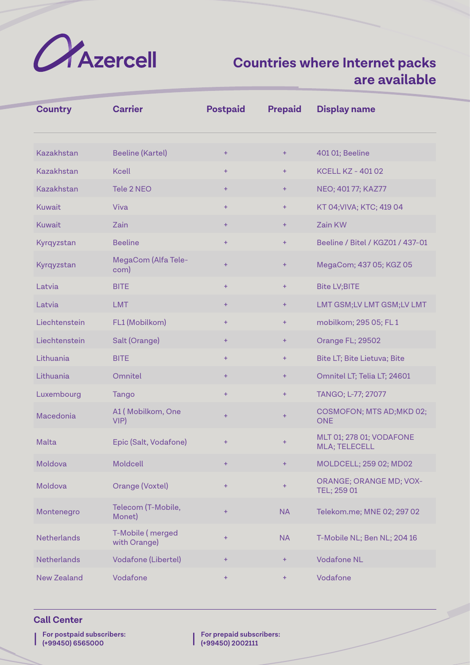

| <b>Country</b>     | <b>Carrier</b>                   | <b>Postpaid</b> | <b>Prepaid</b> | <b>Display name</b>                              |
|--------------------|----------------------------------|-----------------|----------------|--------------------------------------------------|
| Kazakhstan         | <b>Beeline (Kartel)</b>          | $\ddot{}$       | ÷              | 401 01; Beeline                                  |
| Kazakhstan         | <b>Kcell</b>                     | $+$             | $+$            | <b>KCELL KZ - 401 02</b>                         |
| Kazakhstan         | Tele 2 NEO                       | $\ddot{}$       | $\pm$          | NEO; 401 77; KAZ77                               |
| <b>Kuwait</b>      | Viva                             | $+$             | $\ddot{}$      | KT 04; VIVA; KTC; 419 04                         |
| <b>Kuwait</b>      | Zain                             | $\ddot{}$       | $\color{red}+$ | Zain KW                                          |
| Kyrqyzstan         | <b>Beeline</b>                   | $\ddot{}$       | $\ddot{}$      | Beeline / Bitel / KGZ01 / 437-01                 |
| Kyrqyzstan         | MegaCom (Alfa Tele-<br>com)      | $+$             | $\ddot{}$      | MegaCom; 437 05; KGZ 05                          |
| Latvia             | <b>BITE</b>                      | $+$             | $\ddot{}$      | <b>Bite LV;BITE</b>                              |
| Latvia             | <b>LMT</b>                       | $\ddot{}$       | ÷              | LMT GSM;LV LMT GSM;LV LMT                        |
| Liechtenstein      | FL1 (Mobilkom)                   | $+$             | $+$            | mobilkom; 295 05; FL 1                           |
| Liechtenstein      | Salt (Orange)                    | $\ddot{}$       | $\ddot{}$      | Orange FL; 29502                                 |
| Lithuania          | <b>BITE</b>                      | $+$             | $\ddot{}$      | Bite LT; Bite Lietuva; Bite                      |
| Lithuania          | Omnitel                          | $\ddot{}$       | ÷              | Omnitel LT; Telia LT; 24601                      |
| Luxembourg         | Tango                            | $+$             | $\ddot{}$      | TANGO; L-77; 27077                               |
| Macedonia          | A1 (Mobilkom, One<br>VIP         | $+$             | $+$            | COSMOFON; MTS AD; MKD 02;<br><b>ONE</b>          |
| Malta              | Epic (Salt, Vodafone)            | $\ddot{}$       | $\ddot{}$      | MLT 01; 278 01; VODAFONE<br><b>MLA; TELECELL</b> |
| Moldova            | Moldcell                         | $\ddot{}$       | $\pm$          | MOLDCELL; 259 02; MD02                           |
| Moldova            | Orange (Voxtel)                  | $\ddot{}$       | $\ddot{}$      | <b>ORANGE; ORANGE MD; VOX-</b><br>TEL; 259 01    |
| Montenegro         | Telecom (T-Mobile,<br>Monet)     | $\pm$           | <b>NA</b>      | Telekom.me; MNE 02; 297 02                       |
| <b>Netherlands</b> | T-Mobile (merged<br>with Orange) | $\ddot{}$       | <b>NA</b>      | T-Mobile NL; Ben NL; 204 16                      |
| <b>Netherlands</b> | Vodafone (Libertel)              | $\color{red}+$  | ÷              | <b>Vodafone NL</b>                               |
| <b>New Zealand</b> | Vodafone                         | ÷               | $\pm$          | Vodafone                                         |

#### **Call Center**

| | **For postpaid subscribers: (+99450) 6565000**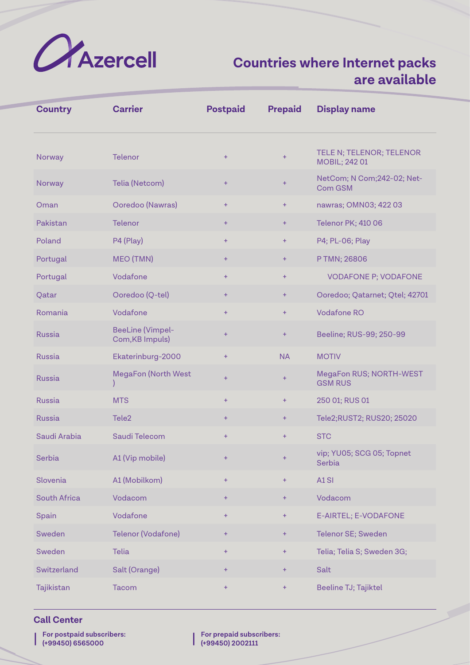

| <b>Country</b>      | <b>Carrier</b>                             | <b>Postpaid</b> | <b>Prepaid</b>   | <b>Display name</b>                              |
|---------------------|--------------------------------------------|-----------------|------------------|--------------------------------------------------|
| Norway              | <b>Telenor</b>                             | $\pm$           | $+$              | TELE N; TELENOR; TELENOR<br><b>MOBIL; 242 01</b> |
| Norway              | Telia (Netcom)                             | ÷               | $+$              | NetCom; N Com; 242-02; Net-<br>Com GSM           |
| Oman                | Ooredoo (Nawras)                           | ÷               | $+$              | nawras; OMN03; 422 03                            |
| Pakistan            | <b>Telenor</b>                             | ÷               | $+$              | <b>Telenor PK; 410 06</b>                        |
| Poland              | P4 (Play)                                  | $\ddot{}$       | $+$              | P4; PL-06; Play                                  |
| Portugal            | MEO (TMN)                                  | ÷               | $+$              | P TMN; 26806                                     |
| Portugal            | Vodafone                                   | $+$             | $+$              | <b>VODAFONE P; VODAFONE</b>                      |
| Qatar               | Ooredoo (Q-tel)                            | ÷               | $\pm$            | Ooredoo; Qatarnet; Qtel; 42701                   |
| Romania             | Vodafone                                   | $\ddot{}$       | $+$              | <b>Vodafone RO</b>                               |
| <b>Russia</b>       | <b>BeeLine (Vimpel-</b><br>Com, KB Impuls) | $\ddot{}$       | $+$              | Beeline; RUS-99; 250-99                          |
| <b>Russia</b>       | Ekaterinburg-2000                          | ÷               | <b>NA</b>        | <b>MOTIV</b>                                     |
| <b>Russia</b>       | <b>MegaFon (North West</b>                 | ÷               | $\color{red}{+}$ | MegaFon RUS; NORTH-WEST<br><b>GSM RUS</b>        |
| <b>Russia</b>       | <b>MTS</b>                                 | $\ddot{}$       | $\ddot{}$        | 250 01; RUS 01                                   |
| <b>Russia</b>       | Tele <sub>2</sub>                          | ÷               | $\ddot{}$        | Tele2;RUST2; RUS20; 25020                        |
| Saudi Arabia        | Saudi Telecom                              | $\pm$           | $\ddot{}$        | <b>STC</b>                                       |
| Serbia              | A1 (Vip mobile)                            | ÷               | $\ddot{}$        | vip; YU05; SCG 05; Topnet<br>Serbia              |
| Slovenia            | A1 (Mobilkom)                              | $\ddot{}$       | $+$              | A1SI                                             |
| <b>South Africa</b> | Vodacom                                    | Ŧ               | $\pm$            | Vodacom                                          |
| Spain               | Vodafone                                   | $+$             | $+$              | E-AIRTEL; E-VODAFONE                             |
| Sweden              | Telenor (Vodafone)                         | Ŧ               | $+$              | Telenor SE; Sweden                               |
| Sweden              | <b>Telia</b>                               | ÷               | $\pm$            | Telia; Telia S; Sweden 3G;                       |
| Switzerland         | Salt (Orange)                              | ÷               | $+$              | <b>Salt</b>                                      |
| Tajikistan          | Tacom                                      | ÷               | $+$              | Beeline TJ; Tajiktel                             |

## **Call Center**

| | **For postpaid subscribers: (+99450) 6565000**